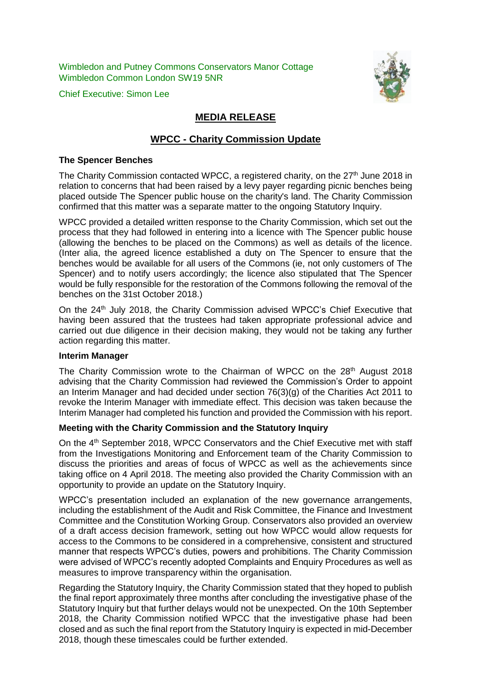Wimbledon and Putney Commons Conservators Manor Cottage Wimbledon Common London SW19 5NR

Chief Executive: Simon Lee



# **MEDIA RELEASE**

# **WPCC - Charity Commission Update**

#### **The Spencer Benches**

The Charity Commission contacted WPCC, a registered charity, on the 27<sup>th</sup> June 2018 in relation to concerns that had been raised by a levy payer regarding picnic benches being placed outside The Spencer public house on the charity's land. The Charity Commission confirmed that this matter was a separate matter to the ongoing Statutory Inquiry.

WPCC provided a detailed written response to the Charity Commission, which set out the process that they had followed in entering into a licence with The Spencer public house (allowing the benches to be placed on the Commons) as well as details of the licence. (Inter alia, the agreed licence established a duty on The Spencer to ensure that the benches would be available for all users of the Commons (ie, not only customers of The Spencer) and to notify users accordingly; the licence also stipulated that The Spencer would be fully responsible for the restoration of the Commons following the removal of the benches on the 31st October 2018.)

On the 24th July 2018, the Charity Commission advised WPCC's Chief Executive that having been assured that the trustees had taken appropriate professional advice and carried out due diligence in their decision making, they would not be taking any further action regarding this matter.

## **Interim Manager**

The Charity Commission wrote to the Chairman of WPCC on the 28<sup>th</sup> August 2018 advising that the Charity Commission had reviewed the Commission's Order to appoint an Interim Manager and had decided under section 76(3)(g) of the Charities Act 2011 to revoke the Interim Manager with immediate effect. This decision was taken because the Interim Manager had completed his function and provided the Commission with his report.

## **Meeting with the Charity Commission and the Statutory Inquiry**

On the 4<sup>th</sup> September 2018, WPCC Conservators and the Chief Executive met with staff from the Investigations Monitoring and Enforcement team of the Charity Commission to discuss the priorities and areas of focus of WPCC as well as the achievements since taking office on 4 April 2018. The meeting also provided the Charity Commission with an opportunity to provide an update on the Statutory Inquiry.

WPCC's presentation included an explanation of the new governance arrangements, including the establishment of the Audit and Risk Committee, the Finance and Investment Committee and the Constitution Working Group. Conservators also provided an overview of a draft access decision framework, setting out how WPCC would allow requests for access to the Commons to be considered in a comprehensive, consistent and structured manner that respects WPCC's duties, powers and prohibitions. The Charity Commission were advised of WPCC's recently adopted Complaints and Enquiry Procedures as well as measures to improve transparency within the organisation.

Regarding the Statutory Inquiry, the Charity Commission stated that they hoped to publish the final report approximately three months after concluding the investigative phase of the Statutory Inquiry but that further delays would not be unexpected. On the 10th September 2018, the Charity Commission notified WPCC that the investigative phase had been closed and as such the final report from the Statutory Inquiry is expected in mid-December 2018, though these timescales could be further extended.